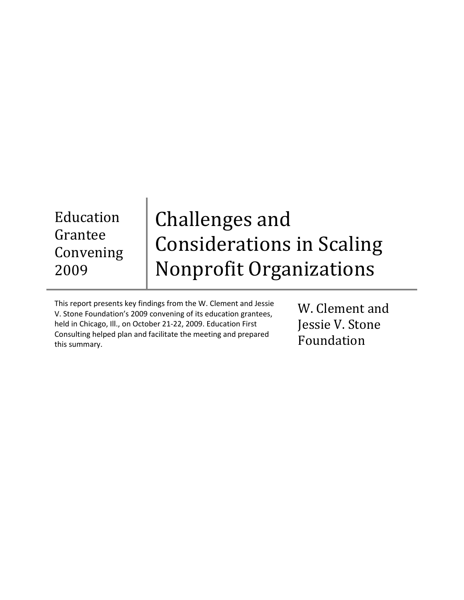Education Grantee Convening 2009

# Challenges and Considerations in Scaling Nonprofit Organizations

This report presents key findings from the W. Clement and Jessie V. Stone Foundation's 2009 convening of its education grantees, held in Chicago, Ill., on October 21-22, 2009. Education First Consulting helped plan and facilitate the meeting and prepared this summary.

W. Clement and Jessie V. Stone Foundation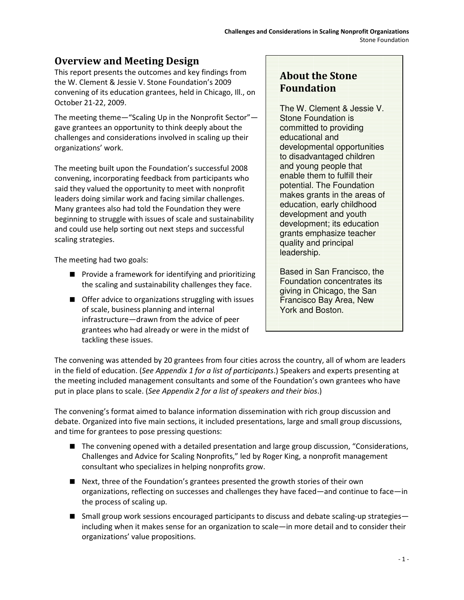## Overview and Meeting Design

This report presents the outcomes and key findings from the W. Clement & Jessie V. Stone Foundation's 2009 convening of its education grantees, held in Chicago, Ill., on October 21-22, 2009.

The meeting theme—"Scaling Up in the Nonprofit Sector" gave grantees an opportunity to think deeply about the challenges and considerations involved in scaling up their organizations' work.

The meeting built upon the Foundation's successful 2008 convening, incorporating feedback from participants who said they valued the opportunity to meet with nonprofit leaders doing similar work and facing similar challenges. Many grantees also had told the Foundation they were beginning to struggle with issues of scale and sustainability and could use help sorting out next steps and successful scaling strategies.

The meeting had two goals:

- **Provide a framework for identifying and prioritizing** the scaling and sustainability challenges they face.
- Offer advice to organizations struggling with issues of scale, business planning and internal infrastructure—drawn from the advice of peer grantees who had already or were in the midst of tackling these issues.

# About the Stone Foundation

The W. Clement & Jessie V. Stone Foundation is committed to providing educational and developmental opportunities to disadvantaged children and young people that enable them to fulfill their potential. The Foundation makes grants in the areas of education, early childhood development and youth development; its education grants emphasize teacher quality and principal leadership.

Based in San Francisco, the Foundation concentrates its giving in Chicago, the San Francisco Bay Area, New York and Boston.

The convening was attended by 20 grantees from four cities across the country, all of whom are leaders in the field of education. (See Appendix 1 for a list of participants.) Speakers and experts presenting at the meeting included management consultants and some of the Foundation's own grantees who have put in place plans to scale. (See Appendix 2 for a list of speakers and their bios.)

The convening's format aimed to balance information dissemination with rich group discussion and debate. Organized into five main sections, it included presentations, large and small group discussions, and time for grantees to pose pressing questions:

- The convening opened with a detailed presentation and large group discussion, "Considerations, Challenges and Advice for Scaling Nonprofits," led by Roger King, a nonprofit management consultant who specializes in helping nonprofits grow.
- Next, three of the Foundation's grantees presented the growth stories of their own organizations, reflecting on successes and challenges they have faced—and continue to face—in the process of scaling up.
- Small group work sessions encouraged participants to discuss and debate scaling-up strategies including when it makes sense for an organization to scale—in more detail and to consider their organizations' value propositions.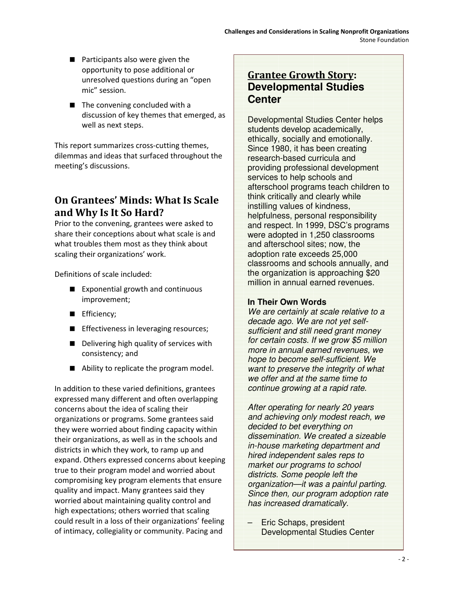- $\blacksquare$  Participants also were given the opportunity to pose additional or unresolved questions during an "open mic" session.
- The convening concluded with a discussion of key themes that emerged, as well as next steps.

This report summarizes cross-cutting themes, dilemmas and ideas that surfaced throughout the meeting's discussions.

## On Grantees' Minds: What Is Scale and Why Is It So Hard?

Prior to the convening, grantees were asked to share their conceptions about what scale is and what troubles them most as they think about scaling their organizations' work.

Definitions of scale included:

- Exponential growth and continuous improvement;
- Efficiency;
- **E** Effectiveness in leveraging resources;
- Delivering high quality of services with consistency; and
- Ability to replicate the program model.

In addition to these varied definitions, grantees expressed many different and often overlapping concerns about the idea of scaling their organizations or programs. Some grantees said they were worried about finding capacity within their organizations, as well as in the schools and districts in which they work, to ramp up and expand. Others expressed concerns about keeping true to their program model and worried about compromising key program elements that ensure quality and impact. Many grantees said they worried about maintaining quality control and high expectations; others worried that scaling could result in a loss of their organizations' feeling of intimacy, collegiality or community. Pacing and

## Grantee Growth Story: **Developmental Studies Center**

Developmental Studies Center helps students develop academically, ethically, socially and emotionally. Since 1980, it has been creating research-based curricula and providing professional development services to help schools and afterschool programs teach children to think critically and clearly while instilling values of kindness, helpfulness, personal responsibility and respect. In 1999, DSC's programs were adopted in 1,250 classrooms and afterschool sites; now, the adoption rate exceeds 25,000 classrooms and schools annually, and the organization is approaching \$20 million in annual earned revenues.

## **In Their Own Words**

We are certainly at scale relative to a decade ago. We are not yet selfsufficient and still need grant money for certain costs. If we grow \$5 million more in annual earned revenues, we hope to become self-sufficient. We want to preserve the integrity of what we offer and at the same time to continue growing at a rapid rate.

After operating for nearly 20 years and achieving only modest reach, we decided to bet everything on dissemination. We created a sizeable in-house marketing department and hired independent sales reps to market our programs to school districts. Some people left the organization—it was a painful parting. Since then, our program adoption rate has increased dramatically.

–Eric Schaps, president Developmental Studies Center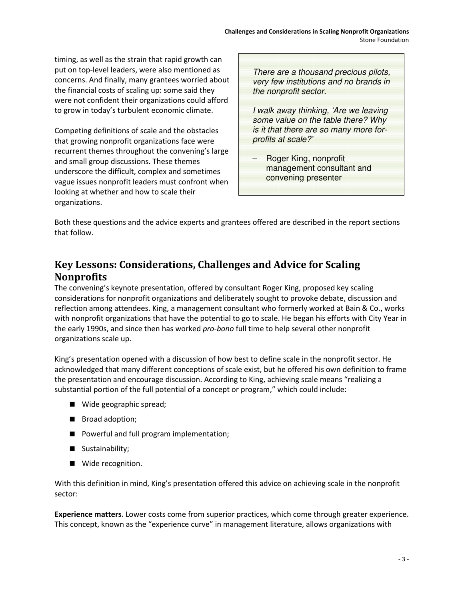timing, as well as the strain that rapid growth can put on top-level leaders, were also mentioned as concerns. And finally, many grantees worried about the financial costs of scaling up: some said they were not confident their organizations could afford to grow in today's turbulent economic climate.

Competing definitions of scale and the obstacles that growing nonprofit organizations face were recurrent themes throughout the convening's large and small group discussions. These themes underscore the difficult, complex and sometimes vague issues nonprofit leaders must confront when looking at whether and how to scale their organizations.

| There are a thousand precious pilots,<br>very few institutions and no brands in |
|---------------------------------------------------------------------------------|
| the nonprofit sector.                                                           |
| I uselle assessed the believes the second province                              |

I walk away thinking, 'Are we leaving some value on the table there? Why is it that there are so many more forprofits at scale?'

– Roger King, nonprofit management consultant and convening presenter

Both these questions and the advice experts and grantees offered are described in the report sections that follow.

# Key Lessons: Considerations, Challenges and Advice for Scaling Nonprofits

The convening's keynote presentation, offered by consultant Roger King, proposed key scaling considerations for nonprofit organizations and deliberately sought to provoke debate, discussion and reflection among attendees. King, a management consultant who formerly worked at Bain & Co., works with nonprofit organizations that have the potential to go to scale. He began his efforts with City Year in the early 1990s, and since then has worked pro-bono full time to help several other nonprofit organizations scale up.

King's presentation opened with a discussion of how best to define scale in the nonprofit sector. He acknowledged that many different conceptions of scale exist, but he offered his own definition to frame the presentation and encourage discussion. According to King, achieving scale means "realizing a substantial portion of the full potential of a concept or program," which could include:

- Wide geographic spread;
- Broad adoption;
- **Powerful and full program implementation;**
- Sustainability;
- **Wide recognition.**

With this definition in mind, King's presentation offered this advice on achieving scale in the nonprofit sector:

Experience matters. Lower costs come from superior practices, which come through greater experience. This concept, known as the "experience curve" in management literature, allows organizations with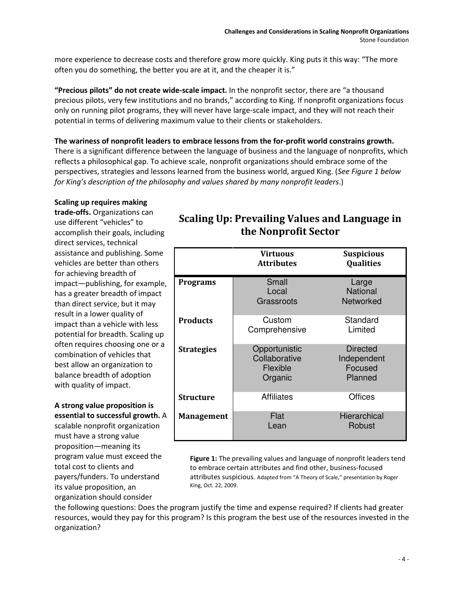more experience to decrease costs and therefore grow more quickly. King puts it this way: "The more often you do something, the better you are at it, and the cheaper it is."

"Precious pilots" do not create wide-scale impact. In the nonprofit sector, there are "a thousand precious pilots, very few institutions and no brands," according to King. If nonprofit organizations focus only on running pilot programs, they will never have large-scale impact, and they will not reach their potential in terms of delivering maximum value to their clients or stakeholders.

The wariness of nonprofit leaders to embrace lessons from the for-profit world constrains growth. There is a significant difference between the language of business and the language of nonprofits, which reflects a philosophical gap. To achieve scale, nonprofit organizations should embrace some of the perspectives, strategies and lessons learned from the business world, argued King. (See Figure 1 below for King's description of the philosophy and values shared by many nonprofit leaders.)

#### Scaling up requires making

trade-offs. Organizations can use different "vehicles" to accomplish their goals, including direct services, technical assistance and publishing. Some vehicles are better than others for achieving breadth of impact—publishing, for example, has a greater breadth of impact than direct service, but it may result in a lower quality of impact than a vehicle with less potential for breadth. Scaling up often requires choosing one or a combination of vehicles that best allow an organization to balance breadth of adoption with quality of impact.

## A strong value proposition is essential to successful growth. A

scalable nonprofit organization must have a strong value proposition—meaning its program value must exceed the total cost to clients and payers/funders. To understand its value proposition, an organization should consider

## Scaling Up: Prevailing Values and Language in the Nonprofit Sector

|                   | Virtuous<br><b>Attributes</b>                         | <b>Suspicious</b><br><b>Qualities</b>                |
|-------------------|-------------------------------------------------------|------------------------------------------------------|
| Programs          | Small<br>Local<br>Grassroots                          | Large<br><b>National</b><br><b>Networked</b>         |
| <b>Products</b>   | Custom<br>Comprehensive                               | Standard<br>Limited                                  |
| <b>Strategies</b> | Opportunistic<br>Collaborative<br>Flexible<br>Organic | <b>Directed</b><br>Independent<br>Focused<br>Planned |
| Structure         | Affiliates                                            | Offices                                              |
| <b>Management</b> | Flat<br>Lean                                          | Hierarchical<br>Robust                               |

Figure 1: The prevailing values and language of nonprofit leaders tend to embrace certain attributes and find other, business-focused attributes suspicious. Adapted from "A Theory of Scale," presentation by Roger King, Oct. 22, 2009.

the following questions: Does the program justify the time and expense required? If clients had greater resources, would they pay for this program? Is this program the best use of the resources invested in the organization?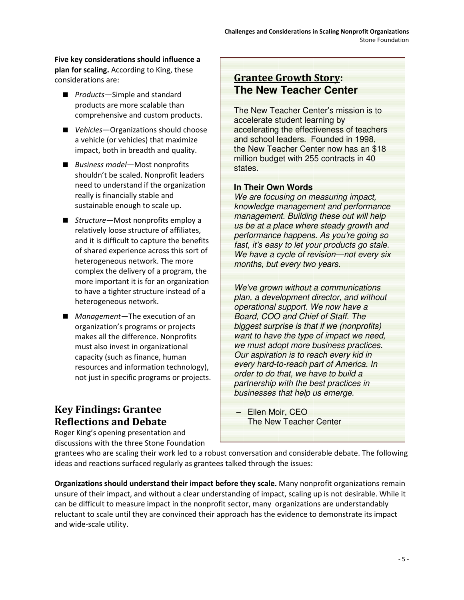Five key considerations should influence a plan for scaling. According to King, these considerations are:

- *Products*—Simple and standard products are more scalable than comprehensive and custom products.
- Vehicles–Organizations should choose a vehicle (or vehicles) that maximize impact, both in breadth and quality.
- Business model-Most nonprofits shouldn't be scaled. Nonprofit leaders need to understand if the organization really is financially stable and sustainable enough to scale up.
- *Structure*—Most nonprofits employ a relatively loose structure of affiliates, and it is difficult to capture the benefits of shared experience across this sort of heterogeneous network. The more complex the delivery of a program, the more important it is for an organization to have a tighter structure instead of a heterogeneous network.
- *Management*—The execution of an organization's programs or projects makes all the difference. Nonprofits must also invest in organizational capacity (such as finance, human resources and information technology), not just in specific programs or projects.

# Key Findings: Grantee Reflections and Debate

Roger King's opening presentation and discussions with the three Stone Foundation

## Grantee Growth Story: **The New Teacher Center**

The New Teacher Center's mission is to accelerate student learning by accelerating the effectiveness of teachers and school leaders. Founded in 1998, the New Teacher Center now has an \$18 million budget with 255 contracts in 40 states.

## **In Their Own Words**

We are focusing on measuring impact, knowledge management and performance management. Building these out will help us be at a place where steady growth and performance happens. As you're going so fast, it's easy to let your products go stale. We have a cycle of revision—not every six months, but every two years.

We've grown without a communications plan, a development director, and without operational support. We now have a Board, COO and Chief of Staff. The biggest surprise is that if we (nonprofits) want to have the type of impact we need, we must adopt more business practices. Our aspiration is to reach every kid in every hard-to-reach part of America. In order to do that, we have to build a partnership with the best practices in businesses that help us emerge.

–Ellen Moir, CEO The New Teacher Center

grantees who are scaling their work led to a robust conversation and considerable debate. The following ideas and reactions surfaced regularly as grantees talked through the issues:

Organizations should understand their impact before they scale. Many nonprofit organizations remain unsure of their impact, and without a clear understanding of impact, scaling up is not desirable. While it can be difficult to measure impact in the nonprofit sector, many organizations are understandably reluctant to scale until they are convinced their approach has the evidence to demonstrate its impact and wide-scale utility.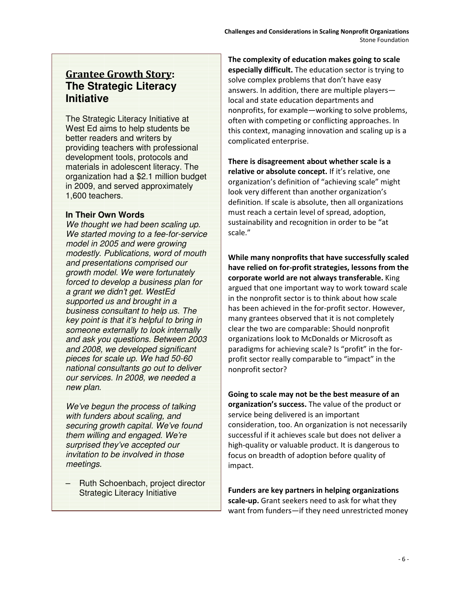# Grantee Growth Story: **The Strategic Literacy Initiative**

The Strategic Literacy Initiative at West Ed aims to help students be better readers and writers by providing teachers with professional development tools, protocols and materials in adolescent literacy. The organization had a \$2.1 million budget in 2009, and served approximately 1,600 teachers.

#### **In Their Own Words**

We thought we had been scaling up. We started moving to a fee-for-service model in 2005 and were growing modestly. Publications, word of mouth and presentations comprised our growth model. We were fortunately forced to develop a business plan for a grant we didn't get. WestEd supported us and brought in a business consultant to help us. The key point is that it's helpful to bring in someone externally to look internally and ask you questions. Between 2003 and 2008, we developed significant pieces for scale up. We had 50-60 national consultants go out to deliver our services. In 2008, we needed a new plan.

We've begun the process of talking with funders about scaling, and securing growth capital. We've found them willing and engaged. We're surprised they've accepted our invitation to be involved in those meetings.

– Ruth Schoenbach, project director Strategic Literacy Initiative

The complexity of education makes going to scale especially difficult. The education sector is trying to solve complex problems that don't have easy answers. In addition, there are multiple players local and state education departments and nonprofits, for example—working to solve problems, often with competing or conflicting approaches. In this context, managing innovation and scaling up is a complicated enterprise.

There is disagreement about whether scale is a relative or absolute concept. If it's relative, one organization's definition of "achieving scale" might look very different than another organization's definition. If scale is absolute, then all organizations must reach a certain level of spread, adoption, sustainability and recognition in order to be "at scale."

While many nonprofits that have successfully scaled have relied on for-profit strategies, lessons from the corporate world are not always transferable. King argued that one important way to work toward scale in the nonprofit sector is to think about how scale has been achieved in the for-profit sector. However, many grantees observed that it is not completely clear the two are comparable: Should nonprofit organizations look to McDonalds or Microsoft as paradigms for achieving scale? Is "profit" in the forprofit sector really comparable to "impact" in the nonprofit sector?

Going to scale may not be the best measure of an organization's success. The value of the product or service being delivered is an important consideration, too. An organization is not necessarily successful if it achieves scale but does not deliver a high-quality or valuable product. It is dangerous to focus on breadth of adoption before quality of impact.

Funders are key partners in helping organizations scale-up. Grant seekers need to ask for what they want from funders—if they need unrestricted money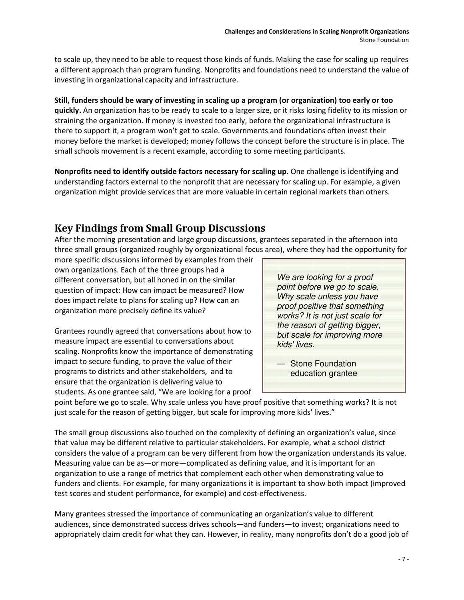to scale up, they need to be able to request those kinds of funds. Making the case for scaling up requires a different approach than program funding. Nonprofits and foundations need to understand the value of investing in organizational capacity and infrastructure.

Still, funders should be wary of investing in scaling up a program (or organization) too early or too quickly. An organization has to be ready to scale to a larger size, or it risks losing fidelity to its mission or straining the organization. If money is invested too early, before the organizational infrastructure is there to support it, a program won't get to scale. Governments and foundations often invest their money before the market is developed; money follows the concept before the structure is in place. The small schools movement is a recent example, according to some meeting participants.

Nonprofits need to identify outside factors necessary for scaling up. One challenge is identifying and understanding factors external to the nonprofit that are necessary for scaling up. For example, a given organization might provide services that are more valuable in certain regional markets than others.

# Key Findings from Small Group Discussions

After the morning presentation and large group discussions, grantees separated in the afternoon into three small groups (organized roughly by organizational focus area), where they had the opportunity for

more specific discussions informed by examples from their own organizations. Each of the three groups had a different conversation, but all honed in on the similar question of impact: How can impact be measured? How does impact relate to plans for scaling up? How can an organization more precisely define its value?

Grantees roundly agreed that conversations about how to measure impact are essential to conversations about scaling. Nonprofits know the importance of demonstrating impact to secure funding, to prove the value of their programs to districts and other stakeholders, and to ensure that the organization is delivering value to students. As one grantee said, "We are looking for a proof

We are looking for a proof point before we go to scale. Why scale unless you have proof positive that something works? It is not just scale for the reason of getting bigger, but scale for improving more kids' lives.

— Stone Foundation education grantee

point before we go to scale. Why scale unless you have proof positive that something works? It is not just scale for the reason of getting bigger, but scale for improving more kids' lives."

The small group discussions also touched on the complexity of defining an organization's value, since that value may be different relative to particular stakeholders. For example, what a school district considers the value of a program can be very different from how the organization understands its value. Measuring value can be as—or more—complicated as defining value, and it is important for an organization to use a range of metrics that complement each other when demonstrating value to funders and clients. For example, for many organizations it is important to show both impact (improved test scores and student performance, for example) and cost-effectiveness.

Many grantees stressed the importance of communicating an organization's value to different audiences, since demonstrated success drives schools—and funders—to invest; organizations need to appropriately claim credit for what they can. However, in reality, many nonprofits don't do a good job of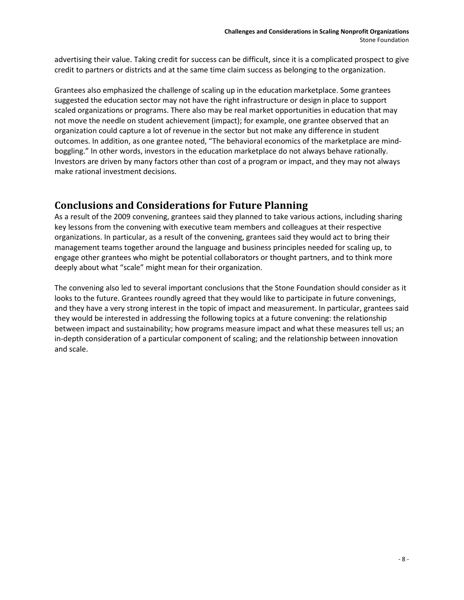advertising their value. Taking credit for success can be difficult, since it is a complicated prospect to give credit to partners or districts and at the same time claim success as belonging to the organization.

Grantees also emphasized the challenge of scaling up in the education marketplace. Some grantees suggested the education sector may not have the right infrastructure or design in place to support scaled organizations or programs. There also may be real market opportunities in education that may not move the needle on student achievement (impact); for example, one grantee observed that an organization could capture a lot of revenue in the sector but not make any difference in student outcomes. In addition, as one grantee noted, "The behavioral economics of the marketplace are mindboggling." In other words, investors in the education marketplace do not always behave rationally. Investors are driven by many factors other than cost of a program or impact, and they may not always make rational investment decisions.

## Conclusions and Considerations for Future Planning

As a result of the 2009 convening, grantees said they planned to take various actions, including sharing key lessons from the convening with executive team members and colleagues at their respective organizations. In particular, as a result of the convening, grantees said they would act to bring their management teams together around the language and business principles needed for scaling up, to engage other grantees who might be potential collaborators or thought partners, and to think more deeply about what "scale" might mean for their organization.

The convening also led to several important conclusions that the Stone Foundation should consider as it looks to the future. Grantees roundly agreed that they would like to participate in future convenings, and they have a very strong interest in the topic of impact and measurement. In particular, grantees said they would be interested in addressing the following topics at a future convening: the relationship between impact and sustainability; how programs measure impact and what these measures tell us; an in-depth consideration of a particular component of scaling; and the relationship between innovation and scale.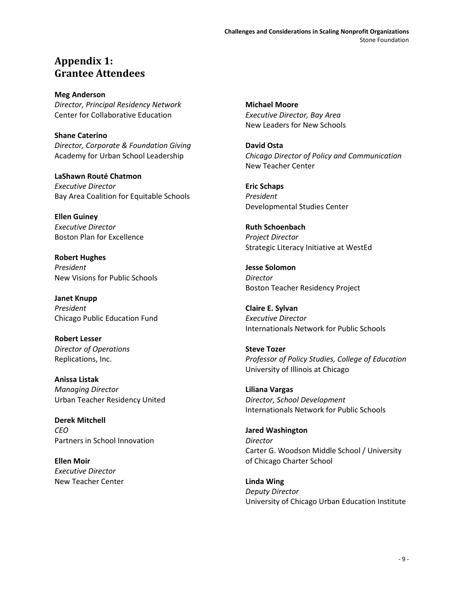## Appendix 1: Grantee Attendees

Meg Anderson Director, Principal Residency Network Center for Collaborative Education

Shane Caterino Director, Corporate & Foundation Giving Academy for Urban School Leadership

LaShawn Routé Chatmon Executive Director Bay Area Coalition for Equitable Schools

Ellen Guiney Executive Director Boston Plan for Excellence

Robert Hughes President New Visions for Public Schools

Janet Knupp President Chicago Public Education Fund

Robert Lesser Director of Operations Replications, Inc.

Anissa Listak Managing Director Urban Teacher Residency United

Derek Mitchell CEO Partners in School Innovation

Ellen Moir Executive Director New Teacher Center Michael Moore Executive Director, Bay Area New Leaders for New Schools

David Osta Chicago Director of Policy and Communication New Teacher Center

Eric Schaps President Developmental Studies Center

Ruth Schoenbach Project Director Strategic Literacy Initiative at WestEd

Jesse Solomon Director Boston Teacher Residency Project

Claire E. Sylvan Executive Director Internationals Network for Public Schools

Steve Tozer Professor of Policy Studies, College of Education University of Illinois at Chicago

Liliana Vargas Director, School Development Internationals Network for Public Schools

Jared Washington Director Carter G. Woodson Middle School / University of Chicago Charter School

Linda Wing Deputy Director University of Chicago Urban Education Institute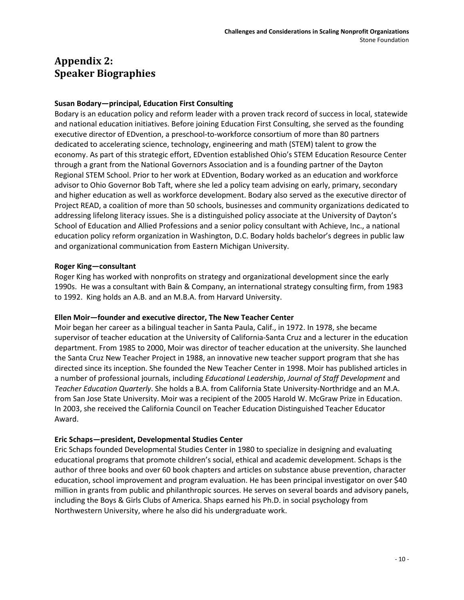# Appendix 2: Speaker Biographies

### Susan Bodary—principal, Education First Consulting

Bodary is an education policy and reform leader with a proven track record of success in local, statewide and national education initiatives. Before joining Education First Consulting, she served as the founding executive director of EDvention, a preschool-to-workforce consortium of more than 80 partners dedicated to accelerating science, technology, engineering and math (STEM) talent to grow the economy. As part of this strategic effort, EDvention established Ohio's STEM Education Resource Center through a grant from the National Governors Association and is a founding partner of the Dayton Regional STEM School. Prior to her work at EDvention, Bodary worked as an education and workforce advisor to Ohio Governor Bob Taft, where she led a policy team advising on early, primary, secondary and higher education as well as workforce development. Bodary also served as the executive director of Project READ, a coalition of more than 50 schools, businesses and community organizations dedicated to addressing lifelong literacy issues. She is a distinguished policy associate at the University of Dayton's School of Education and Allied Professions and a senior policy consultant with Achieve, Inc., a national education policy reform organization in Washington, D.C. Bodary holds bachelor's degrees in public law and organizational communication from Eastern Michigan University.

#### Roger King—consultant

Roger King has worked with nonprofits on strategy and organizational development since the early 1990s. He was a consultant with Bain & Company, an international strategy consulting firm, from 1983 to 1992. King holds an A.B. and an M.B.A. from Harvard University.

#### Ellen Moir—founder and executive director, The New Teacher Center

Moir began her career as a bilingual teacher in Santa Paula, Calif., in 1972. In 1978, she became supervisor of teacher education at the University of California-Santa Cruz and a lecturer in the education department. From 1985 to 2000, Moir was director of teacher education at the university. She launched the Santa Cruz New Teacher Project in 1988, an innovative new teacher support program that she has directed since its inception. She founded the New Teacher Center in 1998. Moir has published articles in a number of professional journals, including Educational Leadership, Journal of Staff Development and Teacher Education Quarterly. She holds a B.A. from California State University-Northridge and an M.A. from San Jose State University. Moir was a recipient of the 2005 Harold W. McGraw Prize in Education. In 2003, she received the California Council on Teacher Education Distinguished Teacher Educator Award.

#### Eric Schaps—president, Developmental Studies Center

Eric Schaps founded Developmental Studies Center in 1980 to specialize in designing and evaluating educational programs that promote children's social, ethical and academic development. Schaps is the author of three books and over 60 book chapters and articles on substance abuse prevention, character education, school improvement and program evaluation. He has been principal investigator on over \$40 million in grants from public and philanthropic sources. He serves on several boards and advisory panels, including the Boys & Girls Clubs of America. Shaps earned his Ph.D. in social psychology from Northwestern University, where he also did his undergraduate work.